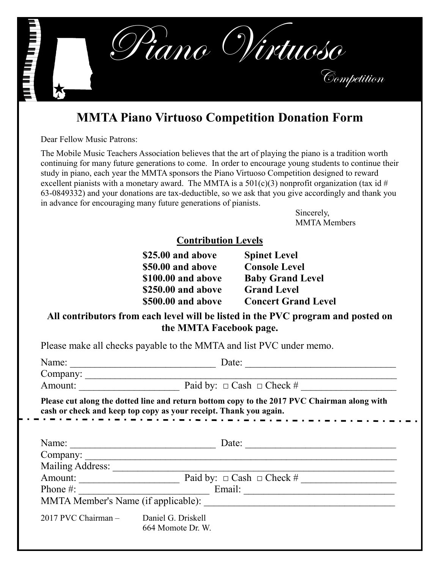

## **MMTA Piano Virtuoso Competition Donation Form**

Dear Fellow Music Patrons:

The Mobile Music Teachers Association believes that the art of playing the piano is a tradition worth continuing for many future generations to come. In order to encourage young students to continue their study in piano, each year the MMTA sponsors the Piano Virtuoso Competition designed to reward excellent pianists with a monetary award. The MMTA is a  $501(c)(3)$  nonprofit organization (tax id # 63-0849332) and your donations are tax-deductible, so we ask that you give accordingly and thank you in advance for encouraging many future generations of pianists.

> Sincerely, MMTA Members

## **Contribution Levels**

| \$25.00 and above  | <b>Spinet Level</b>        |
|--------------------|----------------------------|
| \$50.00 and above  | <b>Console Level</b>       |
| \$100.00 and above | <b>Baby Grand Level</b>    |
| \$250.00 and above | <b>Grand Level</b>         |
| \$500.00 and above | <b>Concert Grand Level</b> |
|                    |                            |

## **All contributors from each level will be listed in the PVC program and posted on the MMTA Facebook page.**

Please make all checks payable to the MMTA and list PVC under memo.

| Name:<br><u> 2000 - 2000 - 2000 - 2000 - 2000 - 2000 - 2000 - 2000 - 2000 - 2000 - 2000 - 2000 - 2000 - 2000 - 2000 - 200</u>                                    | Date:                               |  |
|------------------------------------------------------------------------------------------------------------------------------------------------------------------|-------------------------------------|--|
| Company:                                                                                                                                                         |                                     |  |
| Amount:                                                                                                                                                          | Paid by: $\Box$ Cash $\Box$ Check # |  |
| Please cut along the dotted line and return bottom copy to the 2017 PVC Chairman along with<br>cash or check and keep top copy as your receipt. Thank you again. |                                     |  |
| Name:                                                                                                                                                            | Date:                               |  |
|                                                                                                                                                                  | Company:                            |  |
| Mailing Address:                                                                                                                                                 |                                     |  |
| Amount:                                                                                                                                                          | Paid by: $\Box$ Cash $\Box$ Check # |  |
| Phone $\#$ :                                                                                                                                                     | Email:                              |  |
| MMTA Member's Name (if applicable):                                                                                                                              |                                     |  |
| 2017 PVC Chairman - Daniel G. Driskell                                                                                                                           | 664 Momote Dr. W.                   |  |